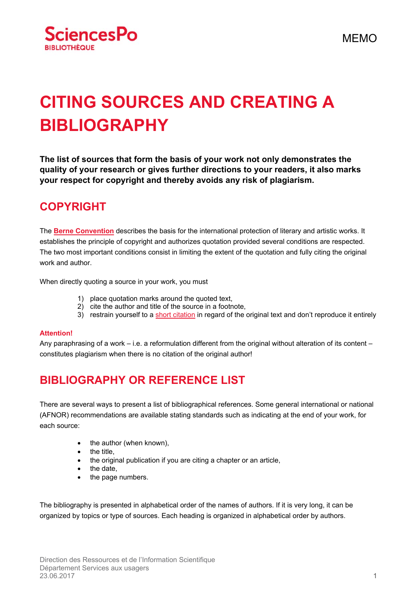

# **CITING SOURCES AND CREATING A BIBLIOGRAPHY**

**The list of sources that form the basis of your work not only demonstrates the quality of your research or gives further directions to your readers, it also marks your respect for copyright and thereby avoids any risk of plagiarism.** 

## **COPYRIGHT**

The **Berne Convention** describes the basis for the international protection of literary and artistic works. It establishes the principle of copyright and authorizes quotation provided several conditions are respected. The two most important conditions consist in limiting the extent of the quotation and fully citing the original work and author.

When directly quoting a source in your work, you must

- 1) place quotation marks around the quoted text,
- 2) cite the author and title of the source in a footnote,
- 3) restrain yourself to a short citation in regard of the original text and don't reproduce it entirely

#### **Attention!**

Any paraphrasing of a work – i.e. a reformulation different from the original without alteration of its content – constitutes plagiarism when there is no citation of the original author!

# **BIBLIOGRAPHY OR REFERENCE LIST**

There are several ways to present a list of bibliographical references. Some general international or national (AFNOR) recommendations are available stating standards such as indicating at the end of your work, for each source:

- $\bullet$  the author (when known),
- $\bullet$  the title.
- the original publication if you are citing a chapter or an article,
- $\bullet$  the date,
- the page numbers.

The bibliography is presented in alphabetical order of the names of authors. If it is very long, it can be organized by topics or type of sources. Each heading is organized in alphabetical order by authors.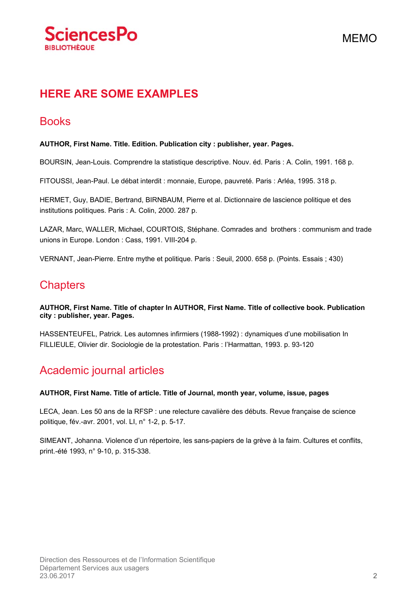

# **HERE ARE SOME EXAMPLES**

### **Books**

### **AUTHOR, First Name. Title. Edition. Publication city : publisher, year. Pages.**

BOURSIN, Jean-Louis. Comprendre la statistique descriptive. Nouv. éd. Paris : A. Colin, 1991. 168 p.

FITOUSSI, Jean-Paul. Le débat interdit : monnaie, Europe, pauvreté. Paris : Arléa, 1995. 318 p.

HERMET, Guy, BADIE, Bertrand, BIRNBAUM, Pierre et al. Dictionnaire de lascience politique et des institutions politiques. Paris : A. Colin, 2000. 287 p.

LAZAR, Marc, WALLER, Michael, COURTOIS, Stéphane. Comrades and brothers : communism and trade unions in Europe. London : Cass, 1991. VIII-204 p.

VERNANT, Jean-Pierre. Entre mythe et politique. Paris : Seuil, 2000. 658 p. (Points. Essais ; 430)

### **Chapters**

**AUTHOR, First Name. Title of chapter In AUTHOR, First Name. Title of collective book. Publication city : publisher, year. Pages.** 

HASSENTEUFEL, Patrick. Les automnes infirmiers (1988-1992) : dynamiques d'une mobilisation In FILLIEULE, Olivier dir. Sociologie de la protestation. Paris : l'Harmattan, 1993. p. 93-120

### Academic journal articles

#### **AUTHOR, First Name. Title of article. Title of Journal, month year, volume, issue, pages**

LECA, Jean. Les 50 ans de la RFSP : une relecture cavalière des débuts. Revue française de science politique, fév.-avr. 2001, vol. LI, n° 1-2, p. 5-17.

SIMEANT, Johanna. Violence d'un répertoire, les sans-papiers de la grève à la faim. Cultures et conflits, print.-été 1993, n° 9-10, p. 315-338.